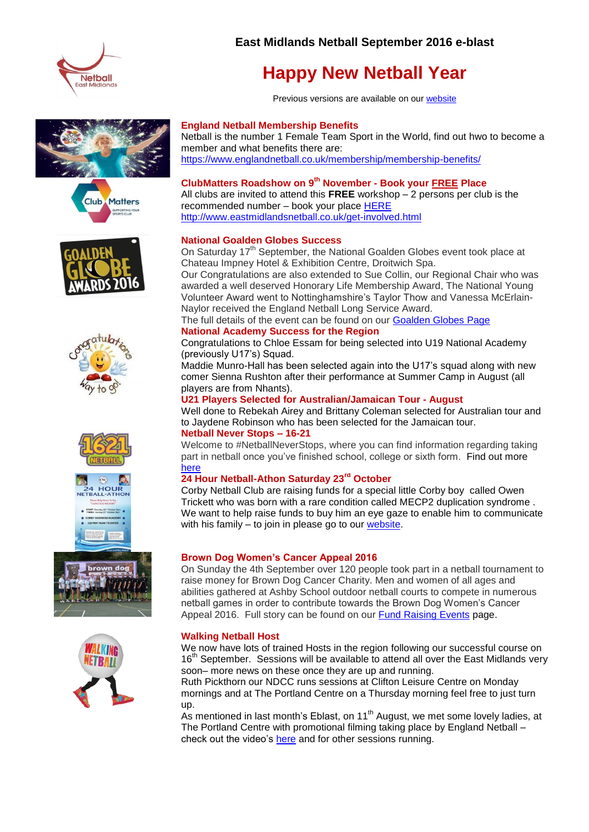

# **Happy New Netball Year**

Previous versions are available on our [website](http://www.eastmidlandsnetball.co.uk/e-blast.html)















## **England Netball Membership Benefits**

Netball is the number 1 Female Team Sport in the World, find out hwo to become a member and what benefits there are: <https://www.englandnetball.co.uk/membership/membership-benefits/>

## **ClubMatters Roadshow on 9th November - Book your FREE Place**

All clubs are invited to attend this **FREE** workshop – 2 persons per club is the recommended number – book your place [HERE](https://learn.sportenglandclubmatters.com/totara/coursecatalog/seminars.php?_ga=1.130276495.1671258300.1461836393) <http://www.eastmidlandsnetball.co.uk/get-involved.html>

## **National Goalden Globes Success**

On Saturday 17<sup>th</sup> September, the National Goalden Globes event took place at Chateau Impney Hotel & Exhibition Centre, Droitwich Spa.

Our Congratulations are also extended to Sue Collin, our Regional Chair who was awarded a well deserved Honorary Life Membership Award, The National Young Volunteer Award went to Nottinghamshire's Taylor Thow and Vanessa McErlain-Naylor received the England Netball Long Service Award.

The full details of the event can be found on our [Goalden Globes Page](http://www.eastmidlandsnetball.co.uk/latest-news/national-goalden-globes-2016) **National Academy Success for the Region**

Congratulations to Chloe Essam for being selected into U19 National Academy (previously U17's) Squad.

Maddie Munro-Hall has been selected again into the U17's squad along with new comer Sienna Rushton after their performance at Summer Camp in August (all players are from Nhants).

#### **U21 Players Selected for Australian/Jamaican Tour - August**

Well done to Rebekah Airey and Brittany Coleman selected for Australian tour and to Jaydene Robinson who has been selected for the Jamaican tour. **Netball Never Stops – 16-21**

Welcome to #NetballNeverStops, where you can find information regarding taking part in netball once you've finished school, college or sixth form. Find out more [here](http://www.eastmidlandsnetball.co.uk/netball-never-stops.html)

## **24 Hour Netball-Athon Saturday 23rd October**

Corby Netball Club are raising funds for a special little Corby boy called Owen Trickett who was born with a rare condition called MECP2 duplication syndrome . We want to help raise funds to buy him an eye gaze to enable him to communicate with his family – to join in please go to our [website.](http://www.eastmidlandsnetball.co.uk/upcoming-tournaments.html)

## **Brown Dog Women's Cancer Appeal 2016**

On Sunday the 4th September over 120 people took part in a netball tournament to raise money for Brown Dog Cancer Charity. Men and women of all ages and abilities gathered at Ashby School outdoor netball courts to compete in numerous netball games in order to contribute towards the Brown Dog Women's Cancer Appeal 2016. Full story can be found on our [Fund Raising Events](http://www.eastmidlandsnetball.co.uk/fundraising-events.html) page.

## **Walking Netball Host**

We now have lots of trained Hosts in the region following our successful course on 16<sup>th</sup> September. Sessions will be available to attend all over the East Midlands very soon– more news on these once they are up and running.

Ruth Pickthorn our NDCC runs sessions at Clifton Leisure Centre on Monday mornings and at The Portland Centre on a Thursday morning feel free to just turn up.

As mentioned in last month's Eblast, on 11<sup>th</sup> August, we met some lovely ladies, at The Portland Centre with promotional filming taking place by England Netball – check out the video's [here](http://www.eastmidlandsnetball.co.uk/walking-netball.html) and for other sessions running.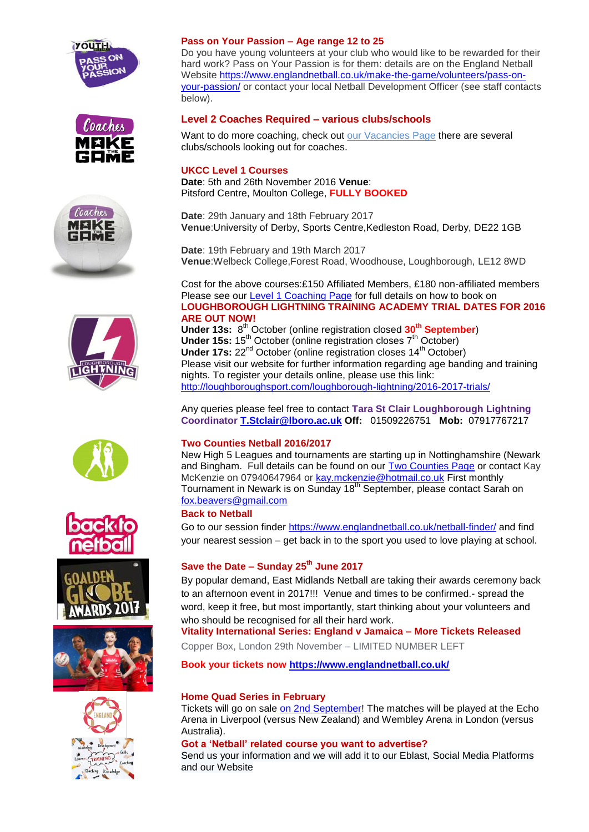

















#### **Pass on Your Passion – Age range 12 to 25**

Do you have young volunteers at your club who would like to be rewarded for their hard work? Pass on Your Passion is for them: details are on the England Netball Website [https://www.englandnetball.co.uk/make-the-game/volunteers/pass-on](https://www.englandnetball.co.uk/make-the-game/volunteers/pass-on-your-passion/)[your-passion/](https://www.englandnetball.co.uk/make-the-game/volunteers/pass-on-your-passion/) or contact your local Netball Development Officer (see staff contacts below).

## **Level 2 Coaches Required – various clubs/schools**

Want to do more coaching, check out [our Vacancies Page](http://www.eastmidlandsnetball.co.uk/current-vacancies.html) there are several clubs/schools looking out for coaches.

#### **UKCC Level 1 Courses**

**Date**: 5th and 26th November 2016 **Venue**: Pitsford Centre, Moulton College, **FULLY BOOKED**

**Date**: 29th January and 18th February 2017 **Venue**:University of Derby, Sports Centre,Kedleston Road, Derby, DE22 1GB

**Date**: 19th February and 19th March 2017 **Venue**:Welbeck College,Forest Road, Woodhouse, Loughborough, LE12 8WD

Cost for the above courses:£150 Affiliated Members, £180 non-affiliated members Please see our **Level 1 Coaching Page** for full details on how to book on **LOUGHBOROUGH LIGHTNING TRAINING ACADEMY TRIAL DATES FOR 2016 ARE OUT NOW!**

**Under 13s:** 8 th October (online registration closed **30th September**) Under 15s: 15<sup>th</sup> October (online registration closes 7<sup>th</sup> October) **Under 17s:** 22<sup>nd</sup> October (online registration closes 14<sup>th</sup> October) Please visit our website for further information regarding age banding and training nights. To register your details online, please use this link: <http://loughboroughsport.com/loughborough-lightning/2016-2017-trials/>

Any queries please feel free to contact **Tara St Clair Loughborough Lightning Coordinator [T.Stclair@lboro.ac.uk](mailto:T.Stclair@lboro.ac.uk) Off:** 01509226751 **Mob:** 07917767217

#### **Two Counties Netball 2016/2017**

New High 5 Leagues and tournaments are starting up in Nottinghamshire (Newark and Bingham. Full details can be found on our [Two Counties Page](http://www.eastmidlandsnetball.co.uk/two-counties.html) or contact Kay McKenzie on 07940647964 or [kay.mckenzie@hotmail.co.uk](mailto:kay.mckenzie@hotmail.co.uk) First monthly Tournament in Newark is on Sunday 18<sup>th</sup> September, please contact Sarah on [fox.beavers@gmail.com](mailto:fox.beavers@gmail.com)

## **Back to Netball**

Go to our session finder<https://www.englandnetball.co.uk/netball-finder/> and find your nearest session – get back in to the sport you used to love playing at school.

## **Save the Date – Sunday 25th June 2017**

By popular demand, East Midlands Netball are taking their awards ceremony back to an afternoon event in 2017!!! Venue and times to be confirmed.- spread the word, keep it free, but most importantly, start thinking about your volunteers and who should be recognised for all their hard work.

**Vitality International Series: England v Jamaica – More Tickets Released** Copper Box, London 29th November – LIMITED NUMBER LEFT

**Book your tickets now<https://www.englandnetball.co.uk/>**

#### **Home Quad Series in February**

Tickets will go on sale [on 2nd September!](https://www.englandnetball.co.uk/home-quad-series-tickets-on-sale-in-two-weeks/) The matches will be played at the Echo Arena in Liverpool (versus New Zealand) and Wembley Arena in London (versus Australia).

#### **Got a 'Netball' related course you want to advertise?**

Send us your information and we will add it to our Eblast, Social Media Platforms and our Website